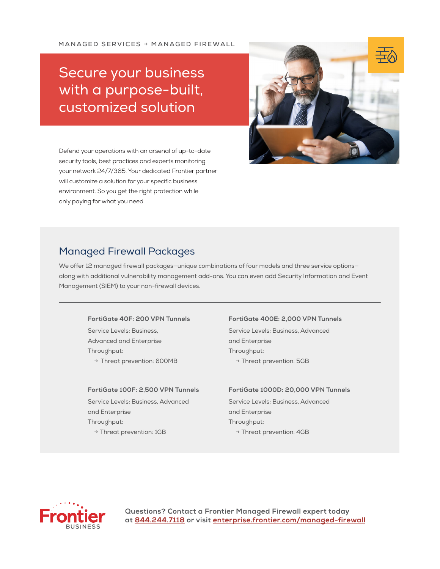**MANAGED SERVICES** → **MANAGED FIREWALL**

# Secure your business with a purpose-built, customized solution



Defend your operations with an arsenal of up-to-date security tools, best practices and experts monitoring your network 24/7/365. Your dedicated Frontier partner will customize a solution for your specific business environment. So you get the right protection while only paying for what you need.

## Managed Firewall Packages

We offer 12 managed firewall packages—unique combinations of four models and three service options along with additional vulnerability management add-ons. You can even add Security Information and Event Management (SIEM) to your non-firewall devices.

#### **FortiGate 40F: 200 VPN Tunnels**

Service Levels: Business, Advanced and Enterprise Throughput:

—> Threat prevention: 600MB

## **FortiGate 100F: 2,500 VPN Tunnels**

Service Levels: Business, Advanced and Enterprise Throughput:  $\rightarrow$  Threat prevention: 1GB

#### **FortiGate 400E: 2,000 VPN Tunnels**

Service Levels: Business, Advanced and Enterprise Throughput: —> Threat prevention: 5GB

#### **FortiGate 1000D: 20,000 VPN Tunnels**

Service Levels: Business, Advanced and Enterprise Throughput:  $\rightarrow$  Threat prevention: 4GB



**[®](https://enterprise.frontier.com) Questions? Contact a Frontier Managed Firewall expert today at 844.244.7118 or visit [enterprise.frontier.com/managed-firewall](http://enterprise.frontier.com/managed-firewall)**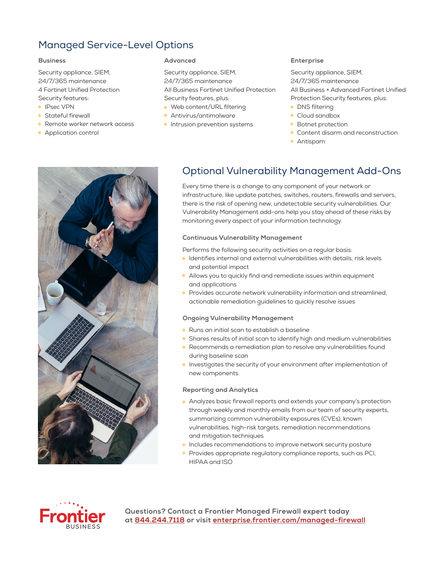## Managed Service-Level Options

Security appliance, SIEM, 24/7/365 maintenance 4 Fortinet Unified Protection Security features:

- **o** IPsec VPN
- **•** Stateful firewall
- **P** Remote worker network access
- **•** Application control

Security appliance, SIEM, 24/7/365 maintenance All Business Fortinet Unified Protection Security features, plus:

- Web content/URL filtering
- Antivirus/antimalware
- **•** Intrusion prevention systems

### **Business Advanced Enterprise**

Security appliance, SIEM, 24/7/365 maintenance All Business + Advanced Fortinet Unified Protection Security features, plus:

- **·** DNS filtering
- Cloud sandbox
- **•** Botnet protection
- **•** Content disarm and reconstruction
- Antispam



## Optional Vulnerability Management Add-Ons

Every time there is a change to any component of your network or infrastructure, like update patches, switches, routers, firewalls and servers, there is the risk of opening new, undetectable security vulnerabilities. Our Vulnerability Management add-ons help you stay ahead of these risks by monitoring every aspect of your information technology.

## **Continuous Vulnerability Management**

Performs the following security activities on a regular basis:

- o Identifies internal and external vulnerabilities with details, risk levels and potential impact
- Allows you to quickly find and remediate issues within equipment and applications
- **Provides accurate network vulnerability information and streamlined,** actionable remediation guidelines to quickly resolve issues

#### **Ongoing Vulnerability Management**

- **•** Runs an initial scan to establish a baseline
- Shares results of initial scan to identify high and medium vulnerabilities
- Recommends a remediation plan to resolve any vulnerabilities found during baseline scan
- **Investigates the security of your environment after implementation of** new components

### **Reporting and Analytics**

- Analyzes basic firewall reports and extends your company's protection through weekly and monthly emails from our team of security experts, summarizing common vulnerability exposures (CVEs), known vulnerabilities, high-risk targets, remediation recommendations and mitigation techniques
- o Includes recommendations to improve network security posture
- **·** Provides appropriate regulatory compliance reports, such as PCI, HIPAA and ISO



**[®](https://enterprise.frontier.com) Questions? Contact a Frontier Managed Firewall expert today at 844.244.7118 or visit [enterprise.frontier.com/managed-firewall](http://enterprise.frontier.com/managed-firewall)**